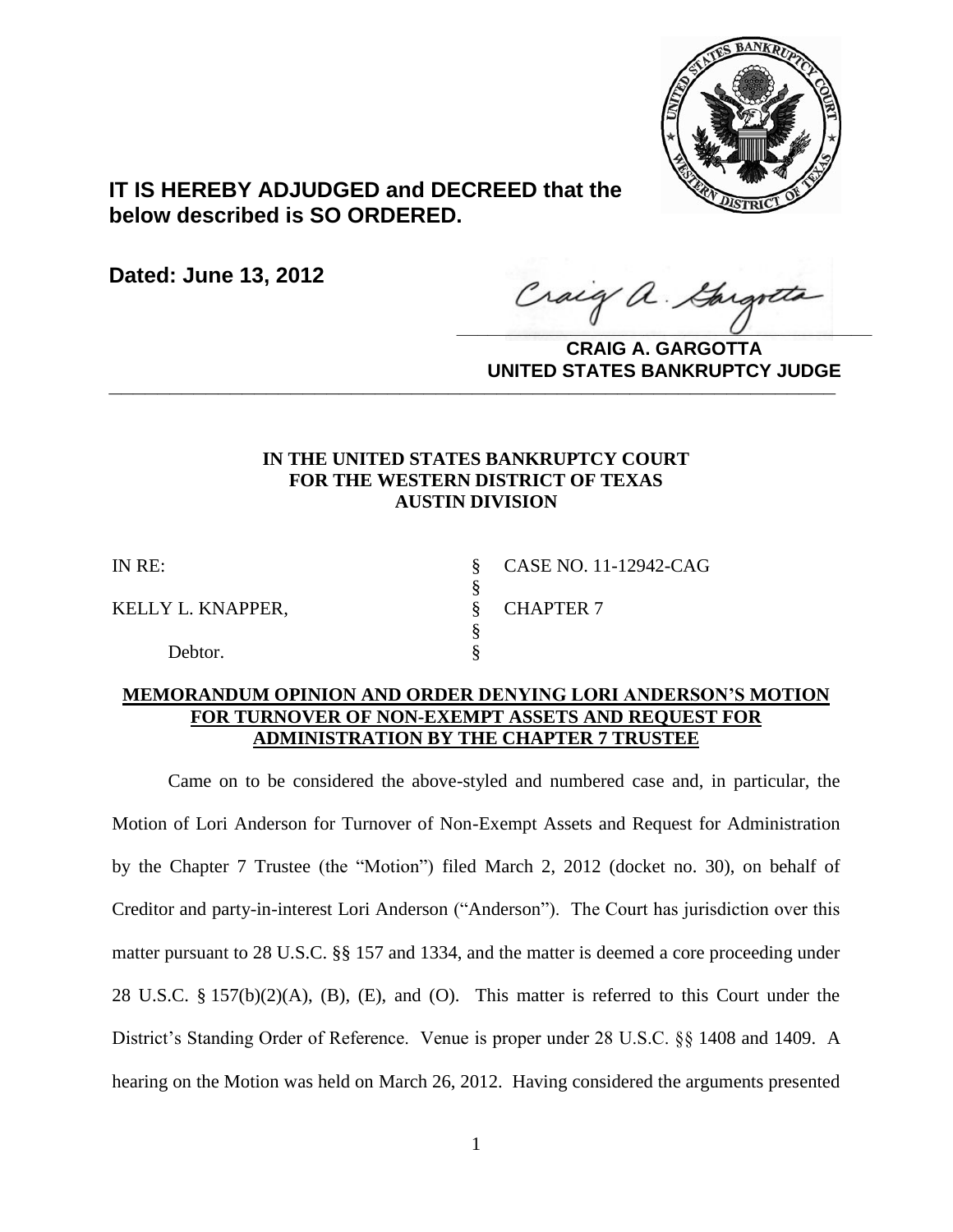

# **IT IS HEREBY ADJUDGED and DECREED that the below described is SO ORDERED.**

**Dated: June 13, 2012**

Craig a Gargotta

**CRAIG A. GARGOTTA UNITED STATES BANKRUPTCY JUDGE PATTED DAMATOR TORODOL** 

# **IN THE UNITED STATES BANKRUPTCY COURT FOR THE WESTERN DISTRICT OF TEXAS AUSTIN DIVISION**

KELLY L. KNAPPER, SCHAPTER 7

Debtor.

IN RE: § CASE NO. 11-12942-CAG

# **MEMORANDUM OPINION AND ORDER DENYING LORI ANDERSON'S MOTION FOR TURNOVER OF NON-EXEMPT ASSETS AND REQUEST FOR ADMINISTRATION BY THE CHAPTER 7 TRUSTEE**

§<br>§

§

Came on to be considered the above-styled and numbered case and, in particular, the Motion of Lori Anderson for Turnover of Non-Exempt Assets and Request for Administration by the Chapter 7 Trustee (the "Motion") filed March 2, 2012 (docket no. 30), on behalf of Creditor and party-in-interest Lori Anderson ("Anderson"). The Court has jurisdiction over this matter pursuant to 28 U.S.C. §§ 157 and 1334, and the matter is deemed a core proceeding under 28 U.S.C. § 157(b)(2)(A), (B), (E), and (O). This matter is referred to this Court under the District's Standing Order of Reference. Venue is proper under 28 U.S.C. §§ 1408 and 1409. A hearing on the Motion was held on March 26, 2012. Having considered the arguments presented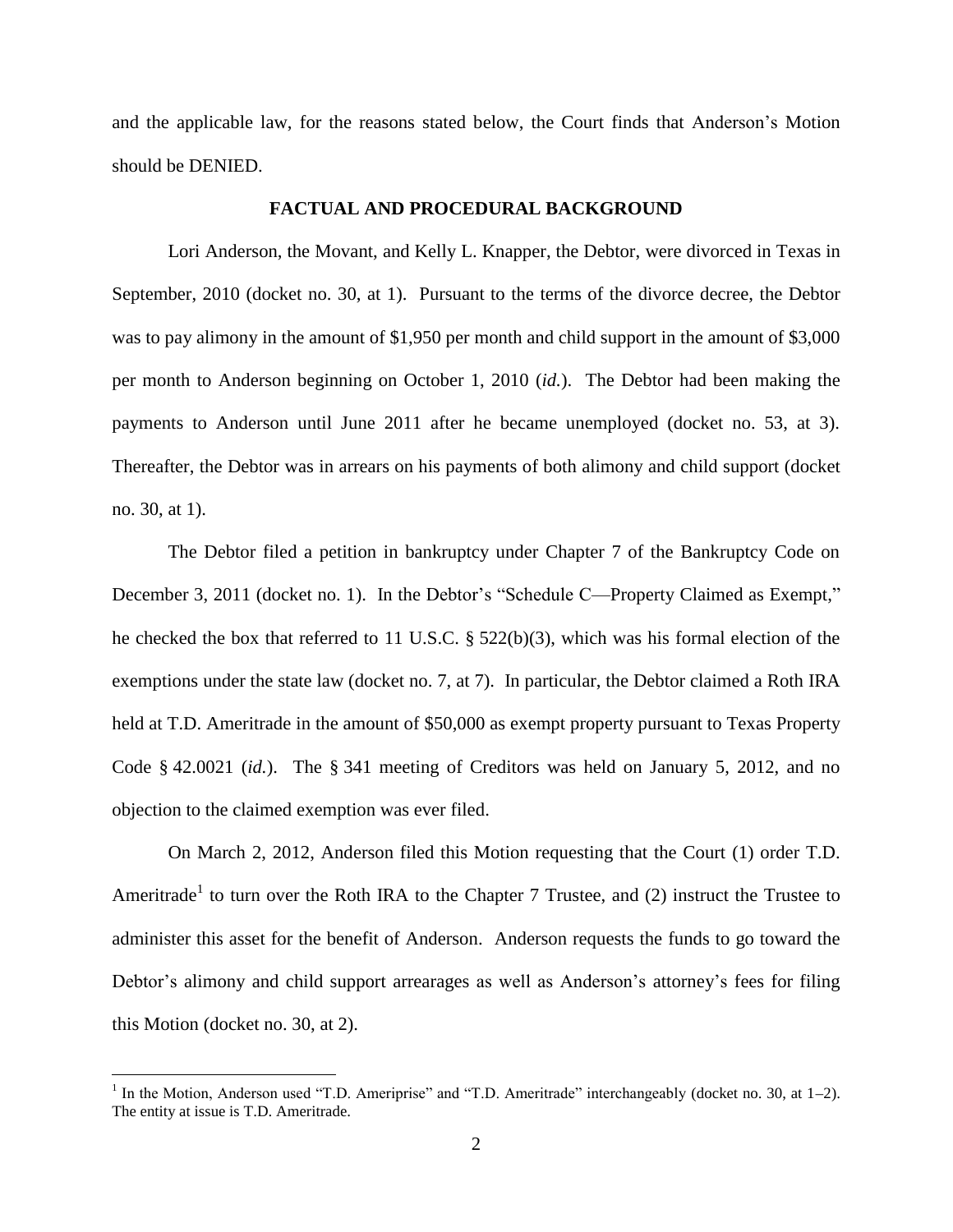and the applicable law, for the reasons stated below, the Court finds that Anderson's Motion should be DENIED.

### **FACTUAL AND PROCEDURAL BACKGROUND**

Lori Anderson, the Movant, and Kelly L. Knapper, the Debtor, were divorced in Texas in September, 2010 (docket no. 30, at 1). Pursuant to the terms of the divorce decree, the Debtor was to pay alimony in the amount of \$1,950 per month and child support in the amount of \$3,000 per month to Anderson beginning on October 1, 2010 (*id.*). The Debtor had been making the payments to Anderson until June 2011 after he became unemployed (docket no. 53, at 3). Thereafter, the Debtor was in arrears on his payments of both alimony and child support (docket no. 30, at 1).

The Debtor filed a petition in bankruptcy under Chapter 7 of the Bankruptcy Code on December 3, 2011 (docket no. 1). In the Debtor's "Schedule C—Property Claimed as Exempt," he checked the box that referred to 11 U.S.C. § 522(b)(3), which was his formal election of the exemptions under the state law (docket no. 7, at 7). In particular, the Debtor claimed a Roth IRA held at T.D. Ameritrade in the amount of \$50,000 as exempt property pursuant to Texas Property Code § 42.0021 (*id.*). The § 341 meeting of Creditors was held on January 5, 2012, and no objection to the claimed exemption was ever filed.

On March 2, 2012, Anderson filed this Motion requesting that the Court (1) order T.D. Ameritrade<sup>1</sup> to turn over the Roth IRA to the Chapter 7 Trustee, and (2) instruct the Trustee to administer this asset for the benefit of Anderson. Anderson requests the funds to go toward the Debtor's alimony and child support arrearages as well as Anderson's attorney's fees for filing this Motion (docket no. 30, at 2).

 $\overline{a}$ 

<sup>&</sup>lt;sup>1</sup> In the Motion, Anderson used "T.D. Ameriprise" and "T.D. Ameritrade" interchangeably (docket no. 30, at  $1-2$ ). The entity at issue is T.D. Ameritrade.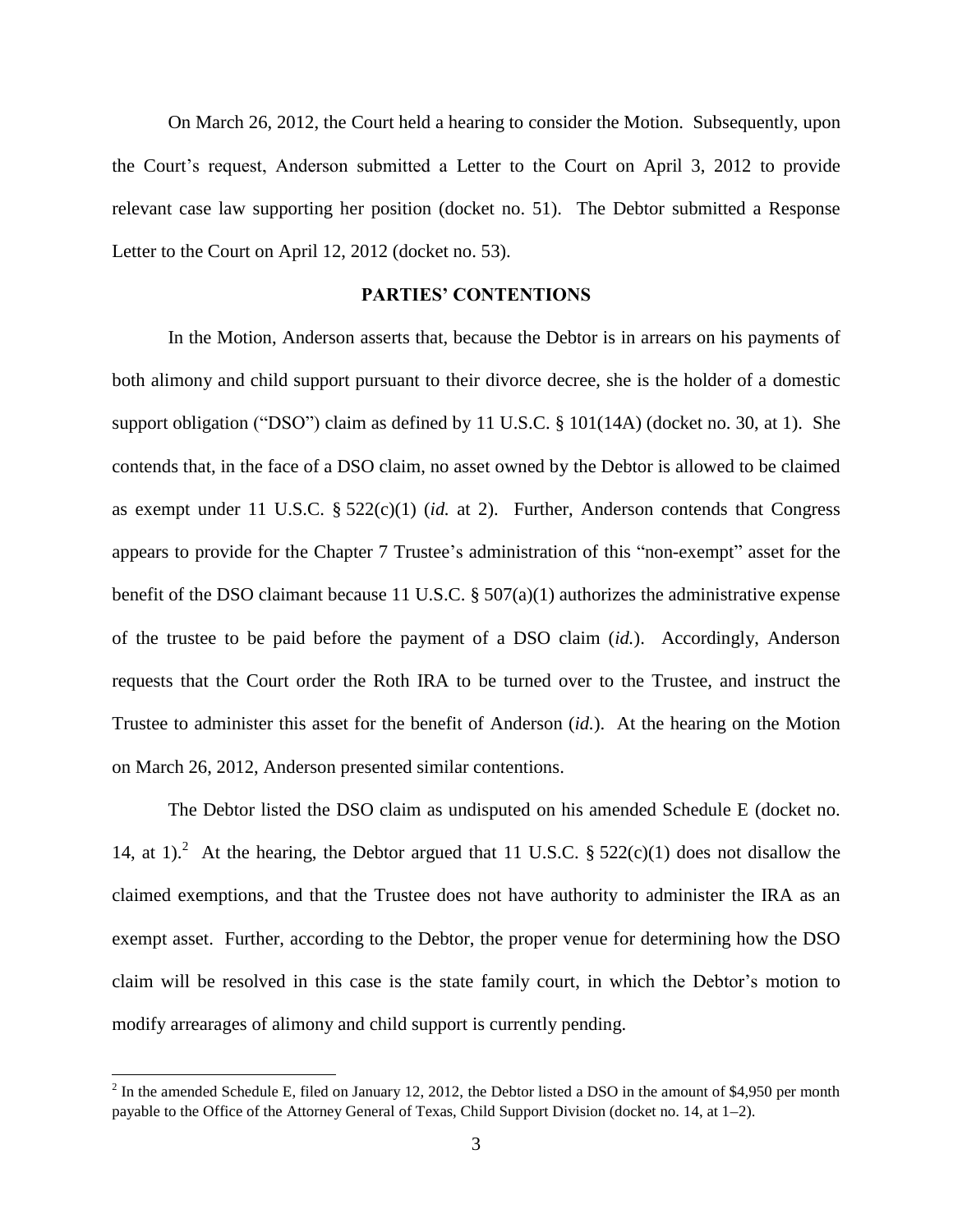On March 26, 2012, the Court held a hearing to consider the Motion. Subsequently, upon the Court's request, Anderson submitted a Letter to the Court on April 3, 2012 to provide relevant case law supporting her position (docket no. 51). The Debtor submitted a Response Letter to the Court on April 12, 2012 (docket no. 53).

# **PARTIES' CONTENTIONS**

In the Motion, Anderson asserts that, because the Debtor is in arrears on his payments of both alimony and child support pursuant to their divorce decree, she is the holder of a domestic support obligation ("DSO") claim as defined by 11 U.S.C. § 101(14A) (docket no. 30, at 1). She contends that, in the face of a DSO claim, no asset owned by the Debtor is allowed to be claimed as exempt under 11 U.S.C. § 522(c)(1) (*id.* at 2). Further, Anderson contends that Congress appears to provide for the Chapter 7 Trustee's administration of this "non-exempt" asset for the benefit of the DSO claimant because 11 U.S.C. § 507(a)(1) authorizes the administrative expense of the trustee to be paid before the payment of a DSO claim (*id.*). Accordingly, Anderson requests that the Court order the Roth IRA to be turned over to the Trustee, and instruct the Trustee to administer this asset for the benefit of Anderson (*id.*). At the hearing on the Motion on March 26, 2012, Anderson presented similar contentions.

The Debtor listed the DSO claim as undisputed on his amended Schedule E (docket no. 14, at 1).<sup>2</sup> At the hearing, the Debtor argued that 11 U.S.C. § 522(c)(1) does not disallow the claimed exemptions, and that the Trustee does not have authority to administer the IRA as an exempt asset. Further, according to the Debtor, the proper venue for determining how the DSO claim will be resolved in this case is the state family court, in which the Debtor's motion to modify arrearages of alimony and child support is currently pending.

<sup>&</sup>lt;sup>2</sup> In the amended Schedule E, filed on January 12, 2012, the Debtor listed a DSO in the amount of \$4,950 per month payable to the Office of the Attorney General of Texas, Child Support Division (docket no. 14, at 1–2).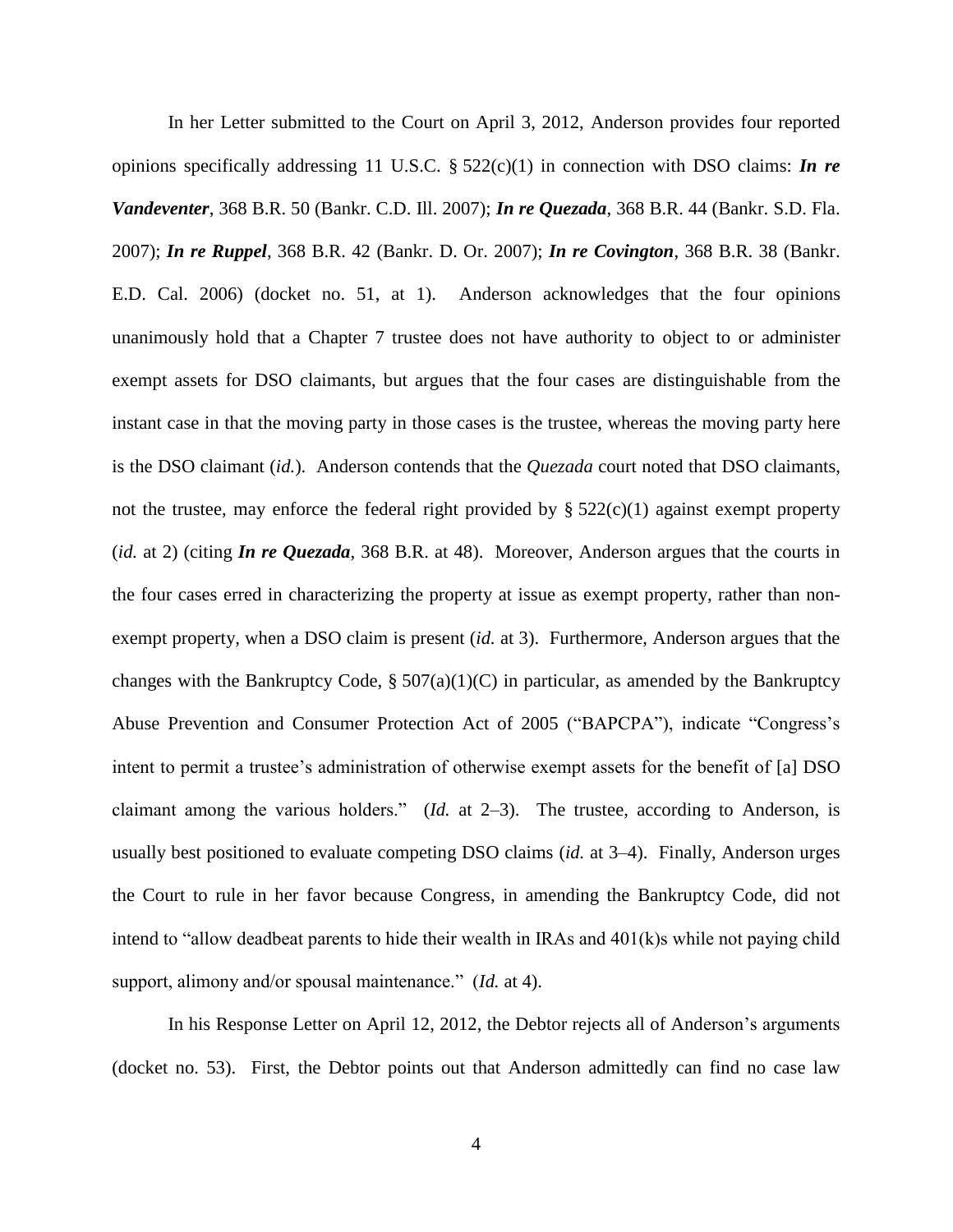In her Letter submitted to the Court on April 3, 2012, Anderson provides four reported opinions specifically addressing 11 U.S.C. § 522(c)(1) in connection with DSO claims: *In re Vandeventer*, 368 B.R. 50 (Bankr. C.D. Ill. 2007); *In re Quezada*, 368 B.R. 44 (Bankr. S.D. Fla. 2007); *In re Ruppel*, 368 B.R. 42 (Bankr. D. Or. 2007); *In re Covington*, 368 B.R. 38 (Bankr. E.D. Cal. 2006) (docket no. 51, at 1). Anderson acknowledges that the four opinions unanimously hold that a Chapter 7 trustee does not have authority to object to or administer exempt assets for DSO claimants, but argues that the four cases are distinguishable from the instant case in that the moving party in those cases is the trustee, whereas the moving party here is the DSO claimant (*id.*). Anderson contends that the *Quezada* court noted that DSO claimants, not the trustee, may enforce the federal right provided by  $\S 522(c)(1)$  against exempt property (*id.* at 2) (citing *In re Quezada*, 368 B.R. at 48). Moreover, Anderson argues that the courts in the four cases erred in characterizing the property at issue as exempt property, rather than nonexempt property, when a DSO claim is present (*id.* at 3). Furthermore, Anderson argues that the changes with the Bankruptcy Code,  $\S 507(a)(1)(C)$  in particular, as amended by the Bankruptcy Abuse Prevention and Consumer Protection Act of 2005 ("BAPCPA"), indicate "Congress's intent to permit a trustee's administration of otherwise exempt assets for the benefit of [a] DSO claimant among the various holders." (*Id.* at 2–3). The trustee, according to Anderson, is usually best positioned to evaluate competing DSO claims (*id.* at 3–4). Finally, Anderson urges the Court to rule in her favor because Congress, in amending the Bankruptcy Code, did not intend to "allow deadbeat parents to hide their wealth in IRAs and 401(k)s while not paying child support, alimony and/or spousal maintenance." (*Id.* at 4).

In his Response Letter on April 12, 2012, the Debtor rejects all of Anderson's arguments (docket no. 53). First, the Debtor points out that Anderson admittedly can find no case law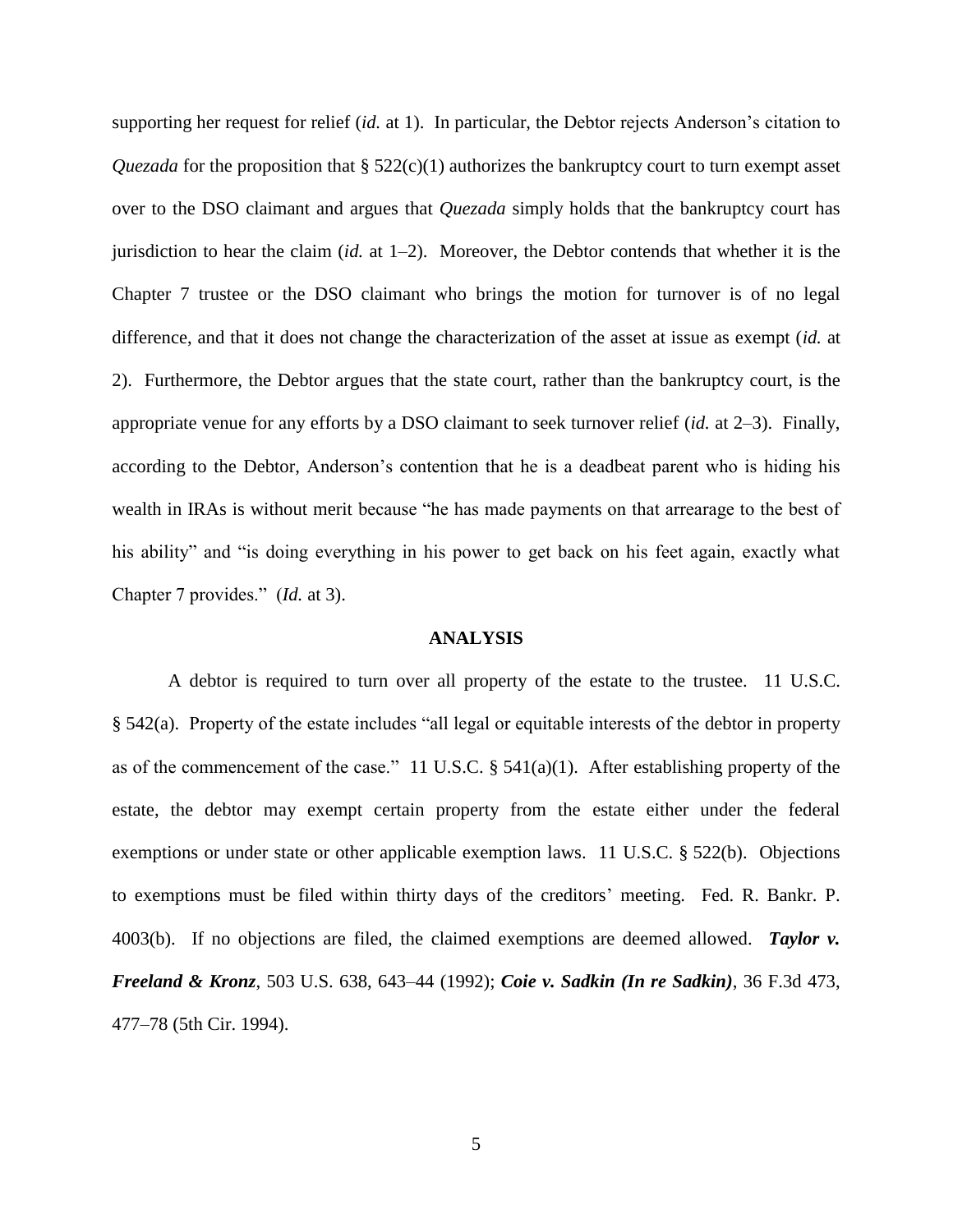supporting her request for relief (*id.* at 1). In particular, the Debtor rejects Anderson's citation to *Quezada* for the proposition that § 522(c)(1) authorizes the bankruptcy court to turn exempt asset over to the DSO claimant and argues that *Quezada* simply holds that the bankruptcy court has jurisdiction to hear the claim (*id.* at 1–2). Moreover, the Debtor contends that whether it is the Chapter 7 trustee or the DSO claimant who brings the motion for turnover is of no legal difference, and that it does not change the characterization of the asset at issue as exempt (*id.* at 2). Furthermore, the Debtor argues that the state court, rather than the bankruptcy court, is the appropriate venue for any efforts by a DSO claimant to seek turnover relief (*id.* at 2–3). Finally, according to the Debtor, Anderson's contention that he is a deadbeat parent who is hiding his wealth in IRAs is without merit because "he has made payments on that arrearage to the best of his ability" and "is doing everything in his power to get back on his feet again, exactly what Chapter 7 provides." (*Id.* at 3).

#### **ANALYSIS**

A debtor is required to turn over all property of the estate to the trustee. 11 U.S.C. § 542(a). Property of the estate includes "all legal or equitable interests of the debtor in property as of the commencement of the case." 11 U.S.C.  $\S$  541(a)(1). After establishing property of the estate, the debtor may exempt certain property from the estate either under the federal exemptions or under state or other applicable exemption laws. 11 U.S.C. § 522(b). Objections to exemptions must be filed within thirty days of the creditors' meeting. Fed. R. Bankr. P. 4003(b). If no objections are filed, the claimed exemptions are deemed allowed. *Taylor v. Freeland & Kronz*, 503 U.S. 638, 643–44 (1992); *Coie v. Sadkin (In re Sadkin)*, 36 F.3d 473, 477–78 (5th Cir. 1994).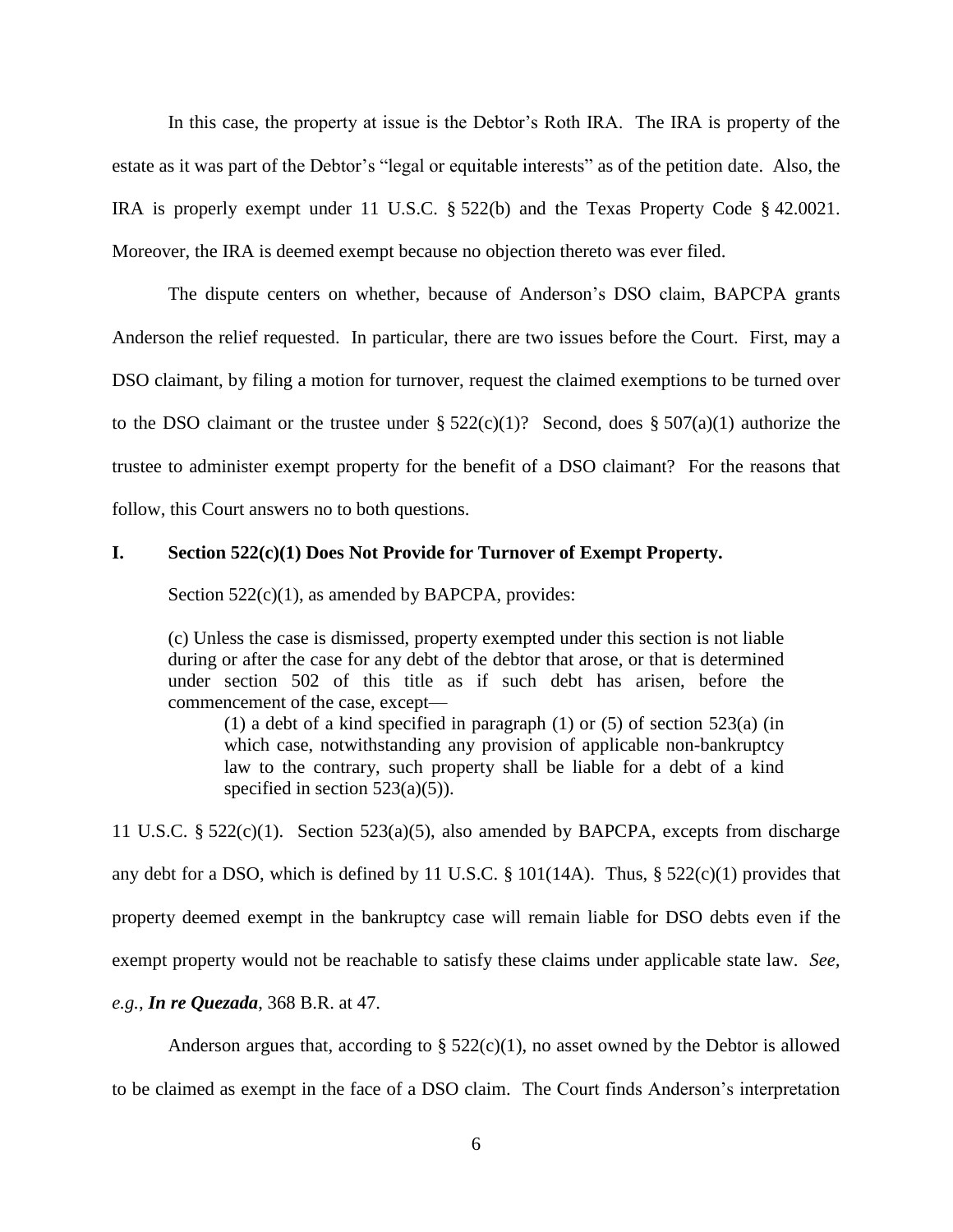In this case, the property at issue is the Debtor's Roth IRA. The IRA is property of the estate as it was part of the Debtor's "legal or equitable interests" as of the petition date. Also, the IRA is properly exempt under 11 U.S.C. § 522(b) and the Texas Property Code § 42.0021. Moreover, the IRA is deemed exempt because no objection thereto was ever filed.

The dispute centers on whether, because of Anderson's DSO claim, BAPCPA grants Anderson the relief requested. In particular, there are two issues before the Court. First, may a DSO claimant, by filing a motion for turnover, request the claimed exemptions to be turned over to the DSO claimant or the trustee under  $\S 522(c)(1)$ ? Second, does  $\S 507(a)(1)$  authorize the trustee to administer exempt property for the benefit of a DSO claimant? For the reasons that follow, this Court answers no to both questions.

#### **I. Section 522(c)(1) Does Not Provide for Turnover of Exempt Property.**

Section  $522(c)(1)$ , as amended by BAPCPA, provides:

(c) Unless the case is dismissed, property exempted under this section is not liable during or after the case for any debt of the debtor that arose, or that is determined under section 502 of this title as if such debt has arisen, before the commencement of the case, except—

(1) a debt of a kind specified in paragraph (1) or (5) of section 523(a) (in which case, notwithstanding any provision of applicable non-bankruptcy law to the contrary, such property shall be liable for a debt of a kind specified in section  $523(a)(5)$ ).

11 U.S.C. § 522(c)(1). Section 523(a)(5), also amended by BAPCPA, excepts from discharge any debt for a DSO, which is defined by 11 U.S.C.  $\S$  101(14A). Thus,  $\S$  522(c)(1) provides that property deemed exempt in the bankruptcy case will remain liable for DSO debts even if the exempt property would not be reachable to satisfy these claims under applicable state law. *See, e.g.*, *In re Quezada*, 368 B.R. at 47.

Anderson argues that, according to  $\S 522(c)(1)$ , no asset owned by the Debtor is allowed to be claimed as exempt in the face of a DSO claim. The Court finds Anderson's interpretation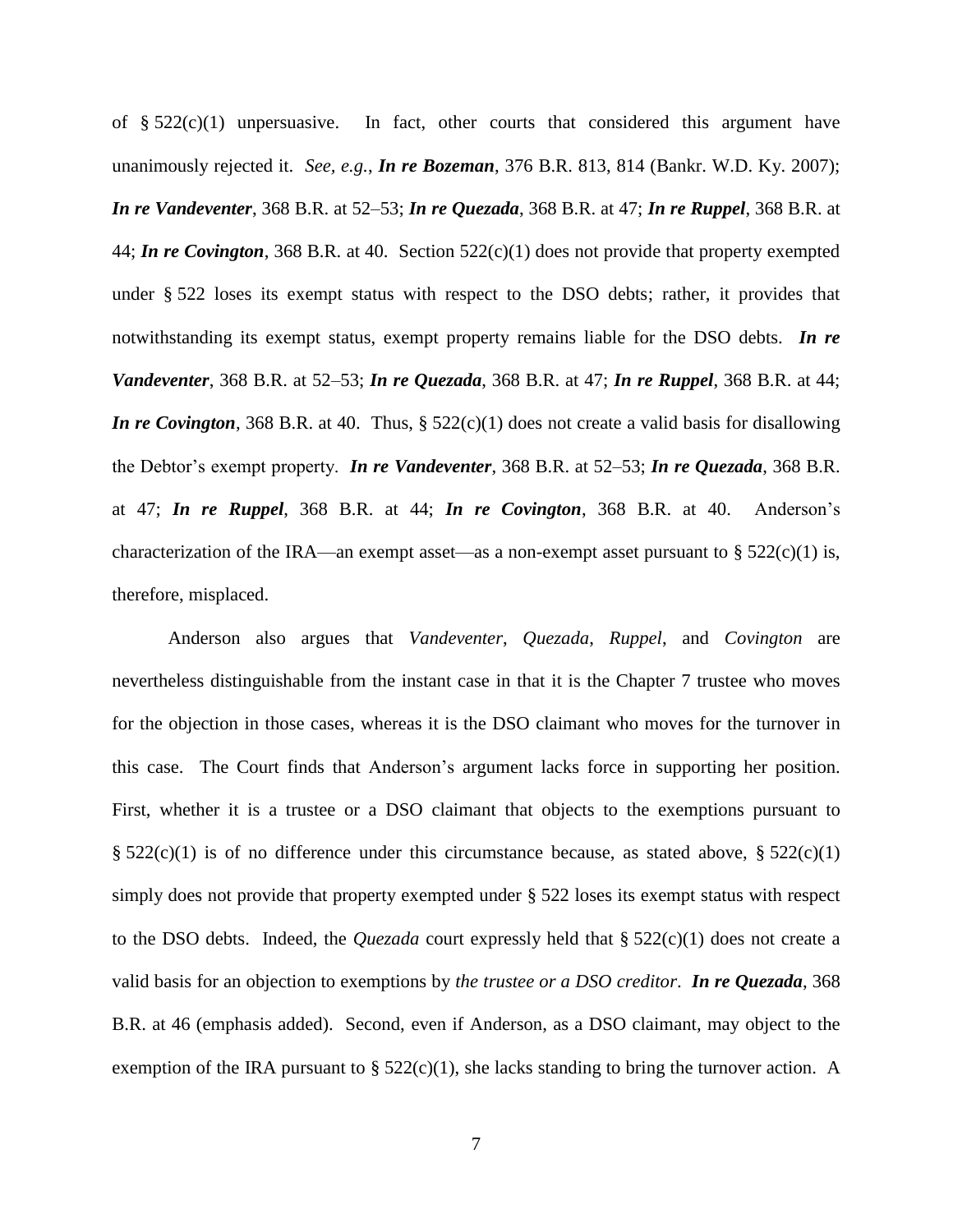of  $\S 522(c)(1)$  unpersuasive. In fact, other courts that considered this argument have unanimously rejected it. *See, e.g.*, *In re Bozeman*, 376 B.R. 813, 814 (Bankr. W.D. Ky. 2007); *In re Vandeventer*, 368 B.R. at 52–53; *In re Quezada*, 368 B.R. at 47; *In re Ruppel*, 368 B.R. at 44; *In re Covington*, 368 B.R. at 40. Section 522(c)(1) does not provide that property exempted under § 522 loses its exempt status with respect to the DSO debts; rather, it provides that notwithstanding its exempt status, exempt property remains liable for the DSO debts. *In re Vandeventer*, 368 B.R. at 52–53; *In re Quezada*, 368 B.R. at 47; *In re Ruppel*, 368 B.R. at 44; *In re Covington*, 368 B.R. at 40. Thus, § 522(c)(1) does not create a valid basis for disallowing the Debtor's exempt property. *In re Vandeventer*, 368 B.R. at 52–53; *In re Quezada*, 368 B.R. at 47; *In re Ruppel*, 368 B.R. at 44; *In re Covington*, 368 B.R. at 40. Anderson's characterization of the IRA—an exempt asset—as a non-exempt asset pursuant to  $\S 522(c)(1)$  is, therefore, misplaced.

Anderson also argues that *Vandeventer*, *Quezada*, *Ruppel*, and *Covington* are nevertheless distinguishable from the instant case in that it is the Chapter 7 trustee who moves for the objection in those cases, whereas it is the DSO claimant who moves for the turnover in this case. The Court finds that Anderson's argument lacks force in supporting her position. First, whether it is a trustee or a DSO claimant that objects to the exemptions pursuant to §  $522(c)(1)$  is of no difference under this circumstance because, as stated above, §  $522(c)(1)$ simply does not provide that property exempted under § 522 loses its exempt status with respect to the DSO debts. Indeed, the *Quezada* court expressly held that § 522(c)(1) does not create a valid basis for an objection to exemptions by *the trustee or a DSO creditor*. *In re Quezada*, 368 B.R. at 46 (emphasis added). Second, even if Anderson, as a DSO claimant, may object to the exemption of the IRA pursuant to  $\S 522(c)(1)$ , she lacks standing to bring the turnover action. A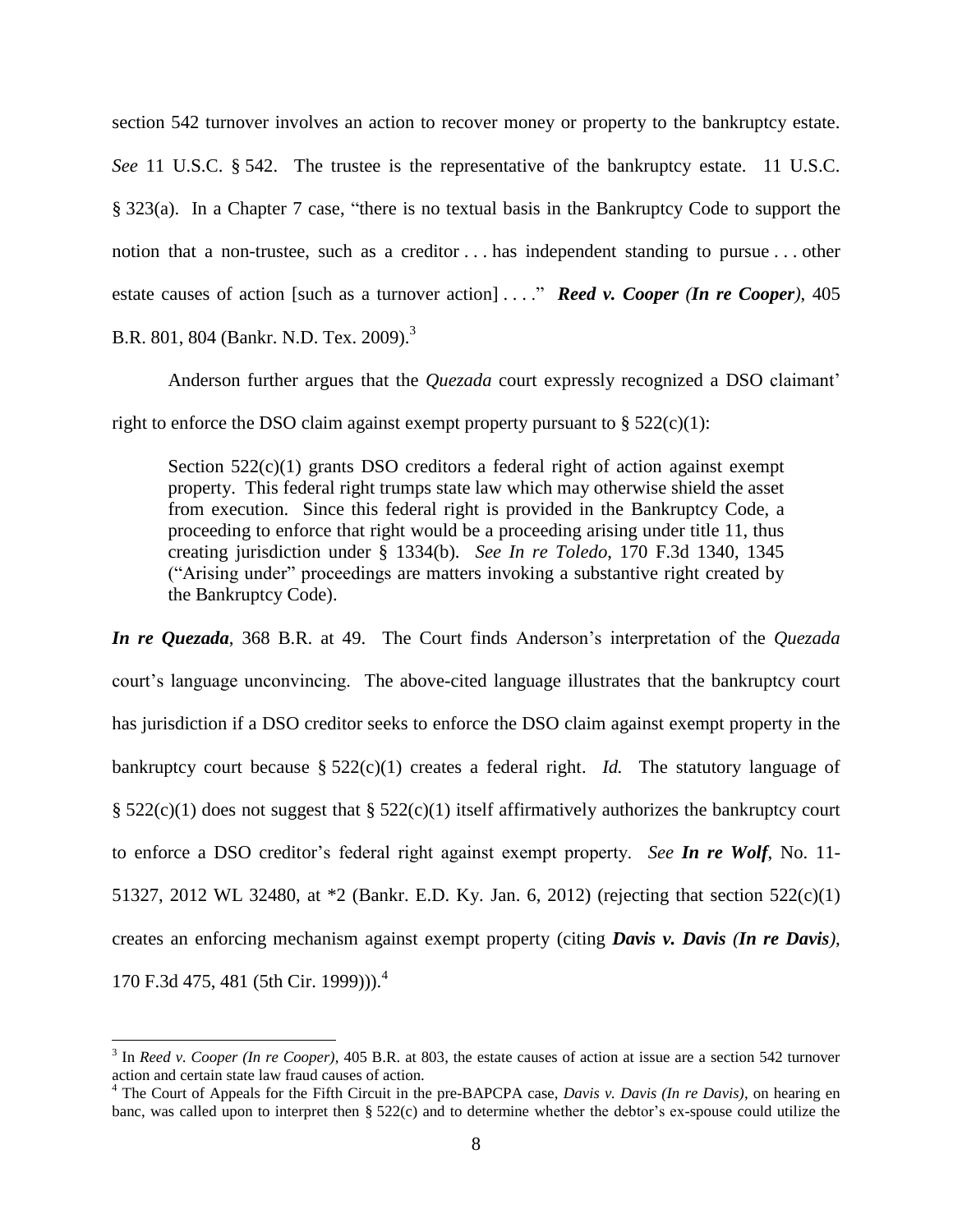section 542 turnover involves an action to recover money or property to the bankruptcy estate. *See* 11 U.S.C. § 542. The trustee is the representative of the bankruptcy estate. 11 U.S.C. § 323(a). In a Chapter 7 case, "there is no textual basis in the Bankruptcy Code to support the notion that a non-trustee, such as a creditor . . . has independent standing to pursue . . . other estate causes of action [such as a turnover action] . . . ." *Reed v. Cooper (In re Cooper)*, 405 B.R. 801, 804 (Bankr. N.D. Tex. 2009).<sup>3</sup>

Anderson further argues that the *Quezada* court expressly recognized a DSO claimant' right to enforce the DSO claim against exempt property pursuant to  $\S 522(c)(1)$ :

Section  $522(c)(1)$  grants DSO creditors a federal right of action against exempt property. This federal right trumps state law which may otherwise shield the asset from execution. Since this federal right is provided in the Bankruptcy Code, a proceeding to enforce that right would be a proceeding arising under title 11, thus creating jurisdiction under § 1334(b). *See In re Toledo*, 170 F.3d 1340, 1345 ("Arising under" proceedings are matters invoking a substantive right created by the Bankruptcy Code).

*In re Quezada*, 368 B.R. at 49. The Court finds Anderson's interpretation of the *Quezada* court's language unconvincing. The above-cited language illustrates that the bankruptcy court has jurisdiction if a DSO creditor seeks to enforce the DSO claim against exempt property in the bankruptcy court because § 522(c)(1) creates a federal right. *Id.* The statutory language of §  $522(c)(1)$  does not suggest that §  $522(c)(1)$  itself affirmatively authorizes the bankruptcy court to enforce a DSO creditor's federal right against exempt property. *See In re Wolf*, No. 11- 51327, 2012 WL 32480, at \*2 (Bankr. E.D. Ky. Jan. 6, 2012) (rejecting that section 522(c)(1) creates an enforcing mechanism against exempt property (citing *Davis v. Davis (In re Davis)*, 170 F.3d 475, 481 (5th Cir. 1999))). 4

 $\overline{\phantom{a}}$ 

<sup>3</sup> In *Reed v. Cooper (In re Cooper)*, 405 B.R. at 803, the estate causes of action at issue are a section 542 turnover action and certain state law fraud causes of action.

<sup>4</sup> The Court of Appeals for the Fifth Circuit in the pre-BAPCPA case, *Davis v. Davis (In re Davis)*, on hearing en banc, was called upon to interpret then § 522(c) and to determine whether the debtor's ex-spouse could utilize the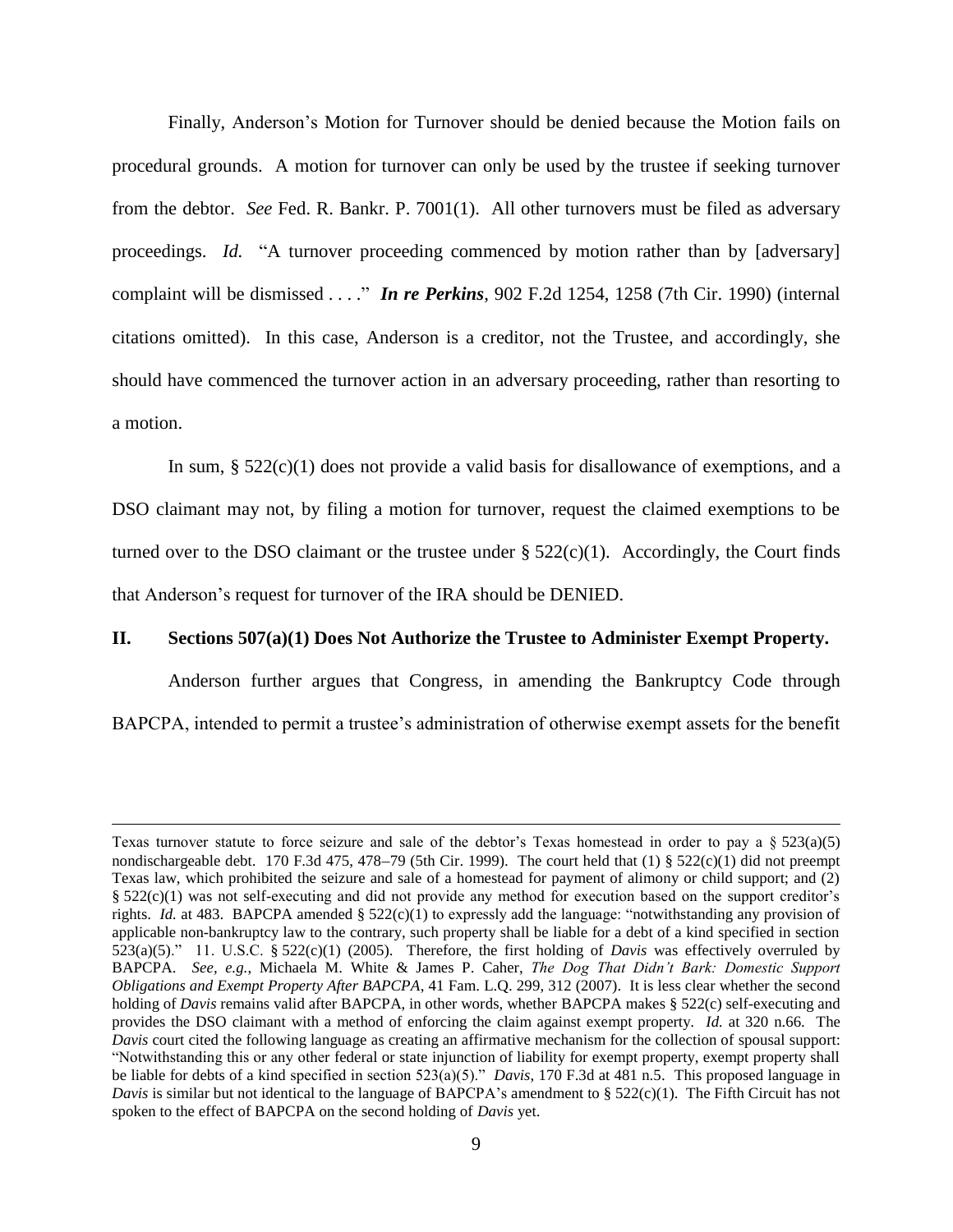Finally, Anderson's Motion for Turnover should be denied because the Motion fails on procedural grounds. A motion for turnover can only be used by the trustee if seeking turnover from the debtor. *See* Fed. R. Bankr. P. 7001(1). All other turnovers must be filed as adversary proceedings. *Id.* "A turnover proceeding commenced by motion rather than by [adversary] complaint will be dismissed . . . ." *In re Perkins*, 902 F.2d 1254, 1258 (7th Cir. 1990) (internal citations omitted). In this case, Anderson is a creditor, not the Trustee, and accordingly, she should have commenced the turnover action in an adversary proceeding, rather than resorting to a motion.

In sum,  $\S 522(c)(1)$  does not provide a valid basis for disallowance of exemptions, and a DSO claimant may not, by filing a motion for turnover, request the claimed exemptions to be turned over to the DSO claimant or the trustee under  $\S 522(c)(1)$ . Accordingly, the Court finds that Anderson's request for turnover of the IRA should be DENIED.

## **II. Sections 507(a)(1) Does Not Authorize the Trustee to Administer Exempt Property.**

Anderson further argues that Congress, in amending the Bankruptcy Code through BAPCPA, intended to permit a trustee's administration of otherwise exempt assets for the benefit

 $\overline{\phantom{a}}$ 

Texas turnover statute to force seizure and sale of the debtor's Texas homestead in order to pay a  $\S 523(a)(5)$ nondischargeable debt. 170 F.3d 475, 478–79 (5th Cir. 1999). The court held that (1) §  $522(c)(1)$  did not preempt Texas law, which prohibited the seizure and sale of a homestead for payment of alimony or child support; and (2) § 522(c)(1) was not self-executing and did not provide any method for execution based on the support creditor's rights. *Id.* at 483. BAPCPA amended § 522(c)(1) to expressly add the language: "notwithstanding any provision of applicable non-bankruptcy law to the contrary, such property shall be liable for a debt of a kind specified in section 523(a)(5)." 11. U.S.C. § 522(c)(1) (2005). Therefore, the first holding of *Davis* was effectively overruled by BAPCPA. *See, e.g.*, Michaela M. White & James P. Caher, *The Dog That Didn't Bark: Domestic Support Obligations and Exempt Property After BAPCPA*, 41 Fam. L.Q. 299, 312 (2007). It is less clear whether the second holding of *Davis* remains valid after BAPCPA, in other words, whether BAPCPA makes § 522(c) self-executing and provides the DSO claimant with a method of enforcing the claim against exempt property. *Id.* at 320 n.66. The *Davis* court cited the following language as creating an affirmative mechanism for the collection of spousal support: "Notwithstanding this or any other federal or state injunction of liability for exempt property, exempt property shall be liable for debts of a kind specified in section 523(a)(5)." *Davis*, 170 F.3d at 481 n.5. This proposed language in *Davis* is similar but not identical to the language of BAPCPA's amendment to § 522(c)(1). The Fifth Circuit has not spoken to the effect of BAPCPA on the second holding of *Davis* yet.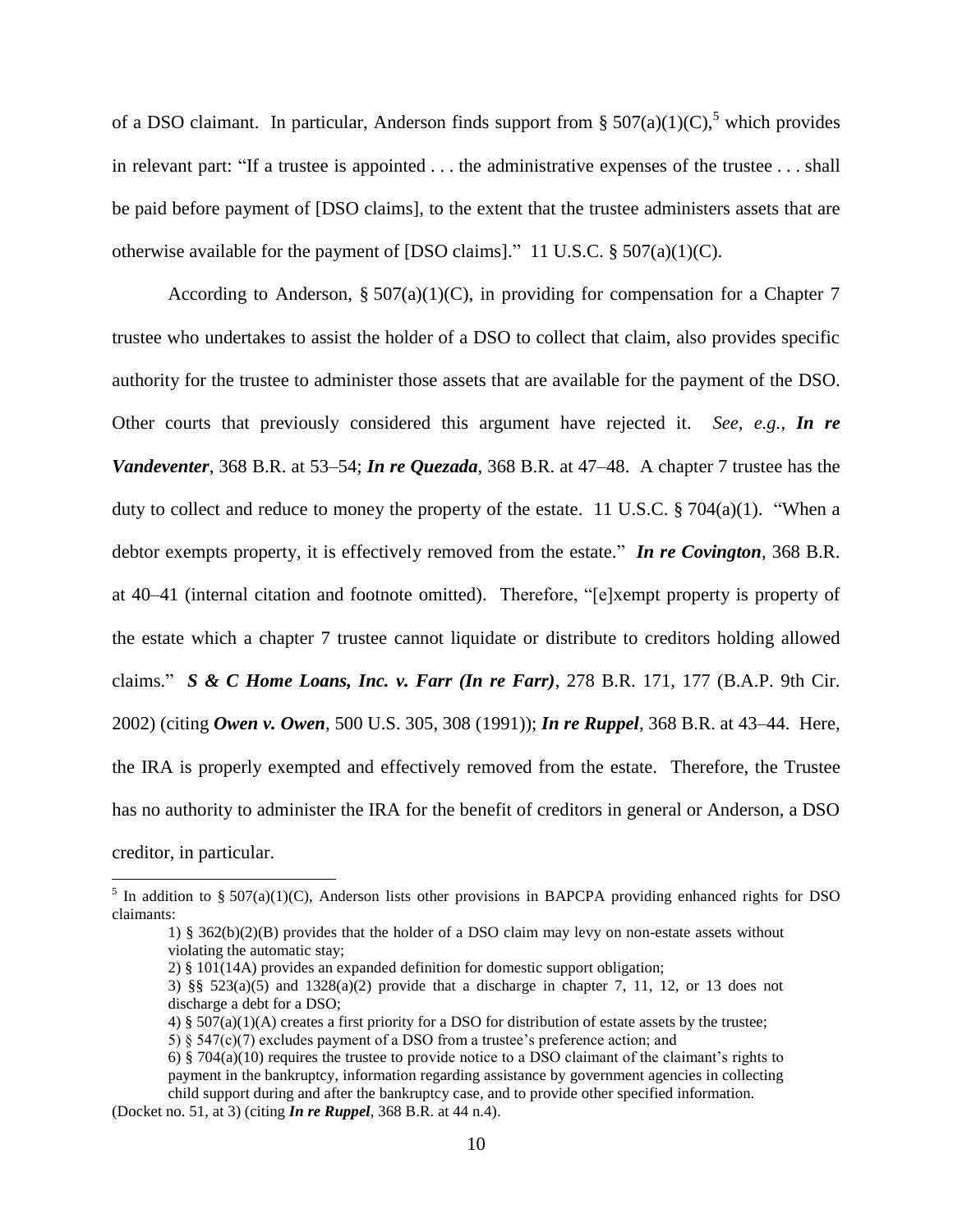of a DSO claimant. In particular, Anderson finds support from §  $507(a)(1)(C)$ ,<sup>5</sup> which provides in relevant part: "If a trustee is appointed . . . the administrative expenses of the trustee . . . shall be paid before payment of [DSO claims], to the extent that the trustee administers assets that are otherwise available for the payment of [DSO claims]." 11 U.S.C.  $\S 507(a)(1)(C)$ .

According to Anderson, §  $507(a)(1)(C)$ , in providing for compensation for a Chapter 7 trustee who undertakes to assist the holder of a DSO to collect that claim, also provides specific authority for the trustee to administer those assets that are available for the payment of the DSO. Other courts that previously considered this argument have rejected it. *See, e.g.*, *In re Vandeventer*, 368 B.R. at 53–54; *In re Quezada*, 368 B.R. at 47–48. A chapter 7 trustee has the duty to collect and reduce to money the property of the estate. 11 U.S.C. § 704(a)(1). "When a debtor exempts property, it is effectively removed from the estate." *In re Covington*, 368 B.R. at 40–41 (internal citation and footnote omitted). Therefore, "[e]xempt property is property of the estate which a chapter 7 trustee cannot liquidate or distribute to creditors holding allowed claims." *S & C Home Loans, Inc. v. Farr (In re Farr)*, 278 B.R. 171, 177 (B.A.P. 9th Cir. 2002) (citing *Owen v. Owen*, 500 U.S. 305, 308 (1991)); *In re Ruppel*, 368 B.R. at 43–44. Here, the IRA is properly exempted and effectively removed from the estate. Therefore, the Trustee has no authority to administer the IRA for the benefit of creditors in general or Anderson, a DSO creditor, in particular.

<sup>&</sup>lt;sup>5</sup> In addition to § 507(a)(1)(C), Anderson lists other provisions in BAPCPA providing enhanced rights for DSO claimants:

<sup>1) § 362(</sup>b)(2)(B) provides that the holder of a DSO claim may levy on non-estate assets without violating the automatic stay;

<sup>2) § 101(14</sup>A) provides an expanded definition for domestic support obligation;

<sup>3) §§</sup>  $523(a)(5)$  and  $1328(a)(2)$  provide that a discharge in chapter 7, 11, 12, or 13 does not discharge a debt for a DSO;

<sup>4) § 507(</sup>a)(1)(A) creates a first priority for a DSO for distribution of estate assets by the trustee;

<sup>5) § 547(</sup>c)(7) excludes payment of a DSO from a trustee's preference action; and

<sup>6) § 704(</sup>a)(10) requires the trustee to provide notice to a DSO claimant of the claimant's rights to payment in the bankruptcy, information regarding assistance by government agencies in collecting child support during and after the bankruptcy case, and to provide other specified information. (Docket no. 51, at 3) (citing *In re Ruppel*, 368 B.R. at 44 n.4).

<sup>10</sup>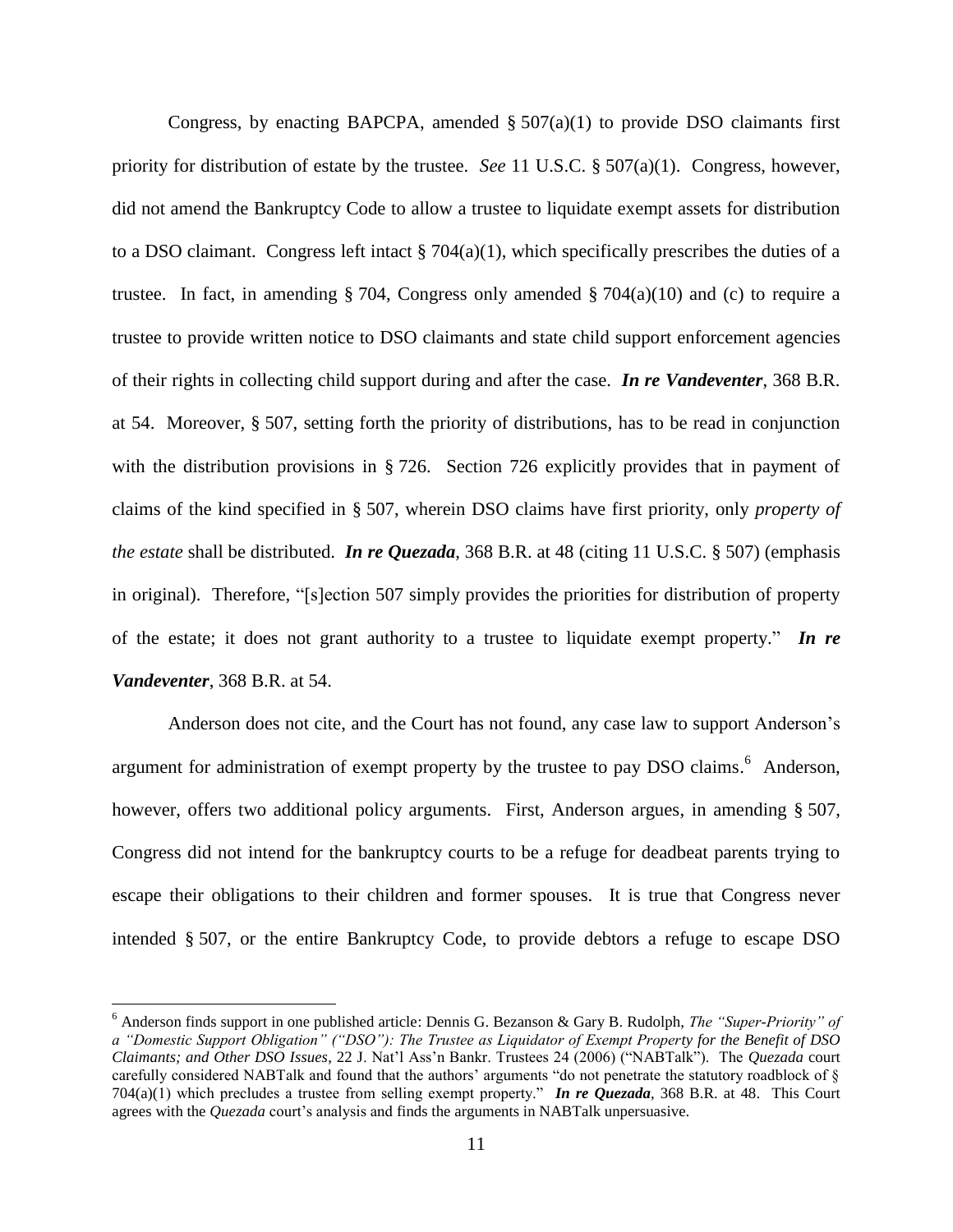Congress, by enacting BAPCPA, amended  $\S 507(a)(1)$  to provide DSO claimants first priority for distribution of estate by the trustee. *See* 11 U.S.C. § 507(a)(1). Congress, however, did not amend the Bankruptcy Code to allow a trustee to liquidate exempt assets for distribution to a DSO claimant. Congress left intact  $\S$  704(a)(1), which specifically prescribes the duties of a trustee. In fact, in amending § 704, Congress only amended § 704(a)(10) and (c) to require a trustee to provide written notice to DSO claimants and state child support enforcement agencies of their rights in collecting child support during and after the case. *In re Vandeventer*, 368 B.R. at 54. Moreover, § 507, setting forth the priority of distributions, has to be read in conjunction with the distribution provisions in § 726. Section 726 explicitly provides that in payment of claims of the kind specified in § 507, wherein DSO claims have first priority, only *property of the estate* shall be distributed. *In re Quezada*, 368 B.R. at 48 (citing 11 U.S.C. § 507) (emphasis in original). Therefore, "[s]ection 507 simply provides the priorities for distribution of property of the estate; it does not grant authority to a trustee to liquidate exempt property." *In re Vandeventer*, 368 B.R. at 54.

Anderson does not cite, and the Court has not found, any case law to support Anderson's argument for administration of exempt property by the trustee to pay DSO claims.<sup>6</sup> Anderson, however, offers two additional policy arguments. First, Anderson argues, in amending § 507, Congress did not intend for the bankruptcy courts to be a refuge for deadbeat parents trying to escape their obligations to their children and former spouses. It is true that Congress never intended § 507, or the entire Bankruptcy Code, to provide debtors a refuge to escape DSO

l

<sup>6</sup> Anderson finds support in one published article: Dennis G. Bezanson & Gary B. Rudolph, *The "Super-Priority" of a "Domestic Support Obligation" ("DSO"): The Trustee as Liquidator of Exempt Property for the Benefit of DSO Claimants; and Other DSO Issues*, 22 J. Nat'l Ass'n Bankr. Trustees 24 (2006) ("NABTalk"). The *Quezada* court carefully considered NABTalk and found that the authors' arguments "do not penetrate the statutory roadblock of § 704(a)(1) which precludes a trustee from selling exempt property." *In re Quezada*, 368 B.R. at 48. This Court agrees with the *Quezada* court's analysis and finds the arguments in NABTalk unpersuasive.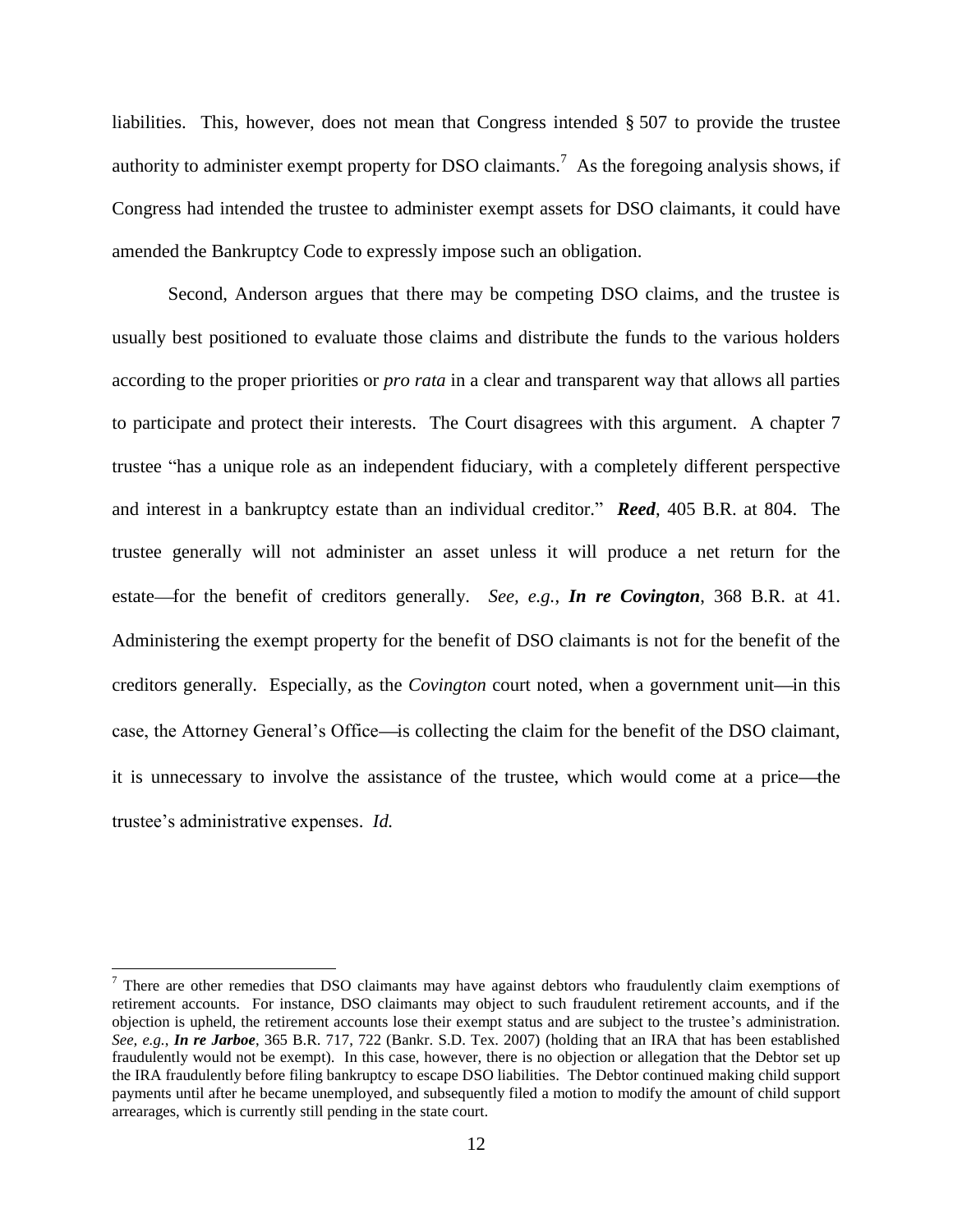liabilities. This, however, does not mean that Congress intended § 507 to provide the trustee authority to administer exempt property for DSO claimants.<sup>7</sup> As the foregoing analysis shows, if Congress had intended the trustee to administer exempt assets for DSO claimants, it could have amended the Bankruptcy Code to expressly impose such an obligation.

Second, Anderson argues that there may be competing DSO claims, and the trustee is usually best positioned to evaluate those claims and distribute the funds to the various holders according to the proper priorities or *pro rata* in a clear and transparent way that allows all parties to participate and protect their interests. The Court disagrees with this argument. A chapter 7 trustee "has a unique role as an independent fiduciary, with a completely different perspective and interest in a bankruptcy estate than an individual creditor." *Reed*, 405 B.R. at 804. The trustee generally will not administer an asset unless it will produce a net return for the estate—for the benefit of creditors generally. *See, e.g.*, *In re Covington*, 368 B.R. at 41. Administering the exempt property for the benefit of DSO claimants is not for the benefit of the creditors generally. Especially, as the *Covington* court noted, when a government unit—in this case, the Attorney General's Office—is collecting the claim for the benefit of the DSO claimant, it is unnecessary to involve the assistance of the trustee, which would come at a price—the trustee's administrative expenses. *Id.*

 $\overline{a}$ 

 $7$  There are other remedies that DSO claimants may have against debtors who fraudulently claim exemptions of retirement accounts. For instance, DSO claimants may object to such fraudulent retirement accounts, and if the objection is upheld, the retirement accounts lose their exempt status and are subject to the trustee's administration. *See, e.g.*, *In re Jarboe*, 365 B.R. 717, 722 (Bankr. S.D. Tex. 2007) (holding that an IRA that has been established fraudulently would not be exempt). In this case, however, there is no objection or allegation that the Debtor set up the IRA fraudulently before filing bankruptcy to escape DSO liabilities. The Debtor continued making child support payments until after he became unemployed, and subsequently filed a motion to modify the amount of child support arrearages, which is currently still pending in the state court.